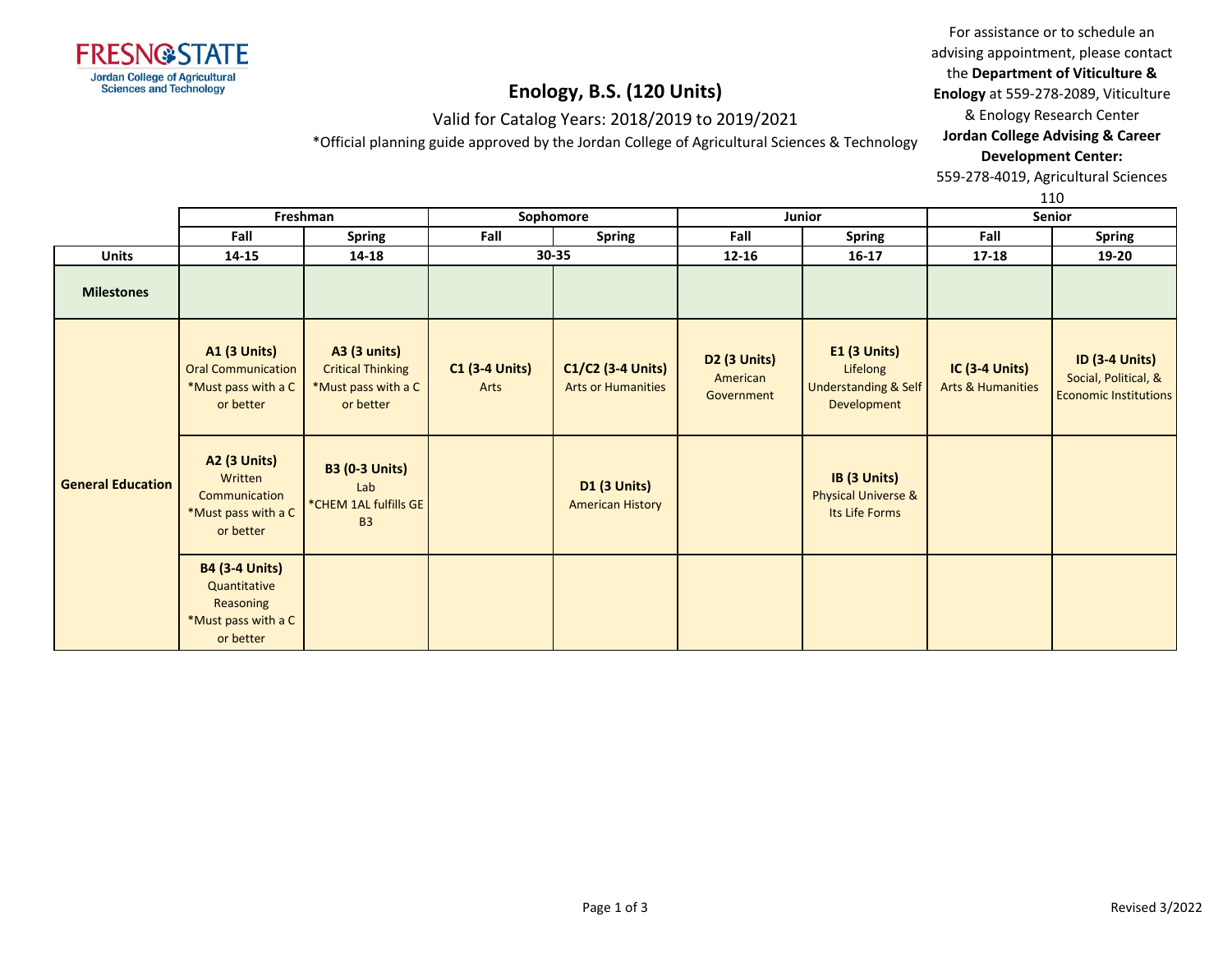

Valid for Catalog Years: 2018/2019 to 2019/2021

\*Official planning guide approved by the Jordan College of Agricultural Sciences & Technology

For assistance or to schedule an advising appointment, please contact the **Department of Viticulture & Enology** at 559-278-2089, Viticulture & Enology Research Center

**Jordan College Advising & Career Development Center:**

559-278-4019, Agricultural Sciences

110

|                          |                                                                                        |                                                                                     | TTO                           |                                                |                                        |                                                                              |                                                       |                                                                               |
|--------------------------|----------------------------------------------------------------------------------------|-------------------------------------------------------------------------------------|-------------------------------|------------------------------------------------|----------------------------------------|------------------------------------------------------------------------------|-------------------------------------------------------|-------------------------------------------------------------------------------|
|                          |                                                                                        | Freshman                                                                            | Sophomore                     |                                                | Junior                                 |                                                                              |                                                       | Senior                                                                        |
|                          | Fall                                                                                   | <b>Spring</b>                                                                       | Fall                          | <b>Spring</b>                                  | Fall                                   | <b>Spring</b>                                                                | Fall                                                  | <b>Spring</b>                                                                 |
| <b>Units</b>             | 14-15                                                                                  | 14-18                                                                               |                               | 30-35                                          | $12 - 16$                              | $16 - 17$                                                                    | $17 - 18$                                             | 19-20                                                                         |
| <b>Milestones</b>        |                                                                                        |                                                                                     |                               |                                                |                                        |                                                                              |                                                       |                                                                               |
| <b>General Education</b> | <b>A1 (3 Units)</b><br><b>Oral Communication</b><br>*Must pass with a C<br>or better   | <b>A3 (3 units)</b><br><b>Critical Thinking</b><br>*Must pass with a C<br>or better | <b>C1 (3-4 Units)</b><br>Arts | C1/C2 (3-4 Units)<br><b>Arts or Humanities</b> | D2 (3 Units)<br>American<br>Government | $E1$ (3 Units)<br>Lifelong<br><b>Understanding &amp; Self</b><br>Development | <b>IC (3-4 Units)</b><br><b>Arts &amp; Humanities</b> | <b>ID (3-4 Units)</b><br>Social, Political, &<br><b>Economic Institutions</b> |
|                          | <b>A2 (3 Units)</b><br>Written<br>Communication<br>*Must pass with a C<br>or better    | <b>B3 (0-3 Units)</b><br>Lab<br>*CHEM 1AL fulfills GE<br><b>B3</b>                  |                               | <b>D1 (3 Units)</b><br><b>American History</b> |                                        | IB (3 Units)<br><b>Physical Universe &amp;</b><br>Its Life Forms             |                                                       |                                                                               |
|                          | <b>B4 (3-4 Units)</b><br>Quantitative<br>Reasoning<br>*Must pass with a C<br>or better |                                                                                     |                               |                                                |                                        |                                                                              |                                                       |                                                                               |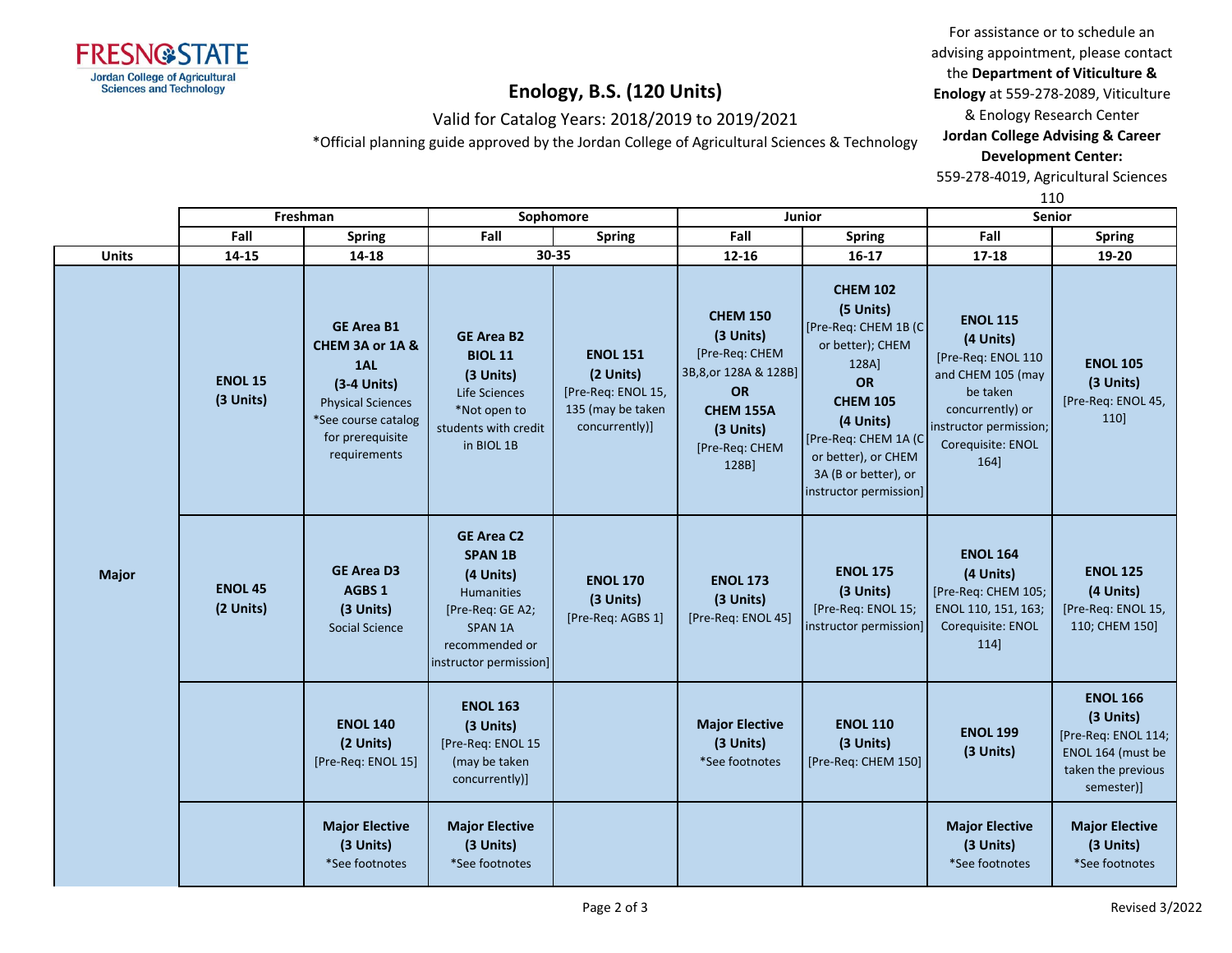

## Valid for Catalog Years: 2018/2019 to 2019/2021

\*Official planning guide approved by the Jordan College of Agricultural Sciences & Technology

For assistance or to schedule an advising appointment, please contact the **Department of Viticulture & Enology** at 559-278-2089, Viticulture

& Enology Research Center

**Jordan College Advising & Career Development Center:**

559-278-4019, Agricultural Sciences

110

|              |                             | Freshman                                                                                                                                            |                                                                                                                                                  | Sophomore                                                                                 | Junior                                                                                                                                   |                                                                                                                                                                                                                          | <b>Senior</b>                                                                                                                                                  |                                                                                                              |
|--------------|-----------------------------|-----------------------------------------------------------------------------------------------------------------------------------------------------|--------------------------------------------------------------------------------------------------------------------------------------------------|-------------------------------------------------------------------------------------------|------------------------------------------------------------------------------------------------------------------------------------------|--------------------------------------------------------------------------------------------------------------------------------------------------------------------------------------------------------------------------|----------------------------------------------------------------------------------------------------------------------------------------------------------------|--------------------------------------------------------------------------------------------------------------|
|              | Fall                        | <b>Spring</b>                                                                                                                                       | Fall                                                                                                                                             | <b>Spring</b>                                                                             | Fall                                                                                                                                     | <b>Spring</b>                                                                                                                                                                                                            | Fall                                                                                                                                                           | <b>Spring</b>                                                                                                |
| <b>Units</b> | 14-15                       | 14-18                                                                                                                                               | 30-35                                                                                                                                            |                                                                                           | $12 - 16$                                                                                                                                | $16 - 17$                                                                                                                                                                                                                | 17-18                                                                                                                                                          | 19-20                                                                                                        |
| <b>Major</b> | <b>ENOL 15</b><br>(3 Units) | <b>GE Area B1</b><br>CHEM 3A or 1A &<br>1AL<br>$(3-4$ Units)<br><b>Physical Sciences</b><br>*See course catalog<br>for prerequisite<br>requirements | <b>GE Area B2</b><br><b>BIOL 11</b><br>(3 Units)<br>Life Sciences<br>*Not open to<br>students with credit<br>in BIOL 1B                          | <b>ENOL 151</b><br>(2 Units)<br>[Pre-Req: ENOL 15,<br>135 (may be taken<br>concurrently)] | <b>CHEM 150</b><br>(3 Units)<br>[Pre-Req: CHEM<br>3B,8,0r 128A & 128B]<br>OR<br><b>CHEM 155A</b><br>(3 Units)<br>[Pre-Req: CHEM<br>128B] | <b>CHEM 102</b><br>(5 Units)<br>[Pre-Req: CHEM 1B (C<br>or better); CHEM<br>128A]<br>OR<br><b>CHEM 105</b><br>(4 Units)<br>[Pre-Req: CHEM 1A (C<br>or better), or CHEM<br>3A (B or better), or<br>instructor permission] | <b>ENOL 115</b><br>(4 Units)<br>[Pre-Req: ENOL 110<br>and CHEM 105 (may<br>be taken<br>concurrently) or<br>instructor permission;<br>Corequisite: ENOL<br>164] | <b>ENOL 105</b><br>(3 Units)<br>[Pre-Req: ENOL 45,<br>110]                                                   |
|              | <b>ENOL 45</b><br>(2 Units) | <b>GE Area D3</b><br>AGBS <sub>1</sub><br>(3 Units)<br><b>Social Science</b>                                                                        | <b>GE Area C2</b><br><b>SPAN 1B</b><br>(4 Units)<br>Humanities<br>[Pre-Req: GE A2;<br><b>SPAN 1A</b><br>recommended or<br>instructor permission] | <b>ENOL 170</b><br>(3 Units)<br>[Pre-Req: AGBS 1]                                         | <b>ENOL 173</b><br>(3 Units)<br>[Pre-Req: ENOL 45]                                                                                       | <b>ENOL 175</b><br>(3 Units)<br>[Pre-Req: ENOL 15;<br>instructor permission]                                                                                                                                             | <b>ENOL 164</b><br>(4 Units)<br>[Pre-Req: CHEM 105;<br>ENOL 110, 151, 163;<br>Corequisite: ENOL<br>114]                                                        | <b>ENOL 125</b><br>(4 Units)<br>[Pre-Req: ENOL 15,<br>110; CHEM 150]                                         |
|              |                             | <b>ENOL 140</b><br>(2 Units)<br>[Pre-Req: ENOL 15]                                                                                                  | <b>ENOL 163</b><br>(3 Units)<br>[Pre-Req: ENOL 15<br>(may be taken<br>concurrently)]                                                             |                                                                                           | <b>Major Elective</b><br>(3 Units)<br>*See footnotes                                                                                     | <b>ENOL 110</b><br>(3 Units)<br>[Pre-Req: CHEM 150]                                                                                                                                                                      | <b>ENOL 199</b><br>(3 Units)                                                                                                                                   | <b>ENOL 166</b><br>(3 Units)<br>[Pre-Req: ENOL 114;<br>ENOL 164 (must be<br>taken the previous<br>semester)] |
|              |                             | <b>Major Elective</b><br>(3 Units)<br>*See footnotes                                                                                                | <b>Major Elective</b><br>(3 Units)<br>*See footnotes                                                                                             |                                                                                           |                                                                                                                                          |                                                                                                                                                                                                                          | <b>Major Elective</b><br>(3 Units)<br>*See footnotes                                                                                                           | <b>Major Elective</b><br>(3 Units)<br>*See footnotes                                                         |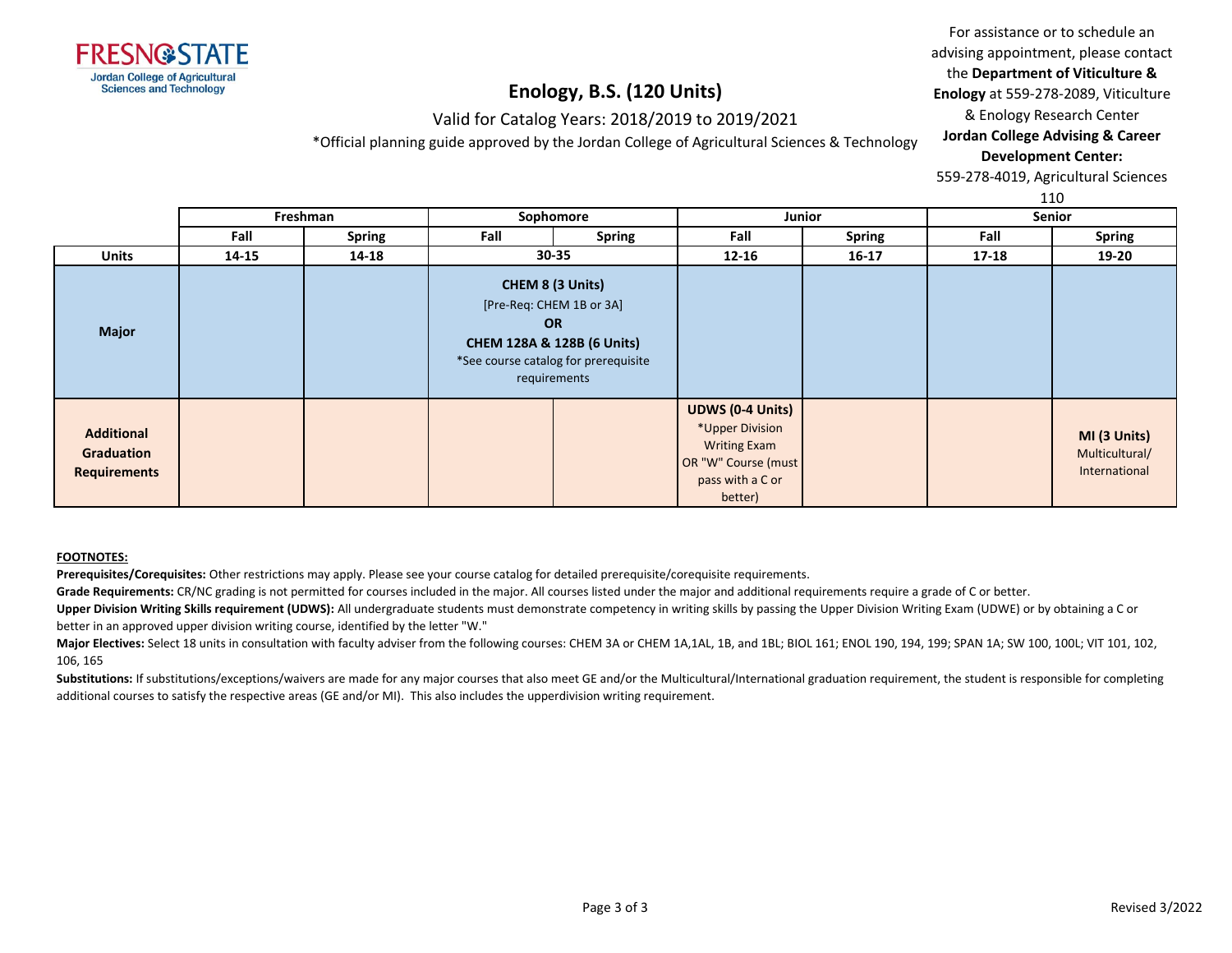

# Valid for Catalog Years: 2018/2019 to 2019/2021

\*Official planning guide approved by the Jordan College of Agricultural Sciences & Technology

For assistance or to schedule an advising appointment, please contact the **Department of Viticulture & Enology** at 559-278-2089, Viticulture & Enology Research Center **Jordan College Advising & Career** 

#### **Development Center:**

559-278-4019, Agricultural Sciences

110

|                                                               |       | ᆠᆂᇦ           |                                                                                                                                          |               |                                                                                                                         |               |         |                                                 |
|---------------------------------------------------------------|-------|---------------|------------------------------------------------------------------------------------------------------------------------------------------|---------------|-------------------------------------------------------------------------------------------------------------------------|---------------|---------|-------------------------------------------------|
|                                                               |       | Freshman      | Sophomore                                                                                                                                |               |                                                                                                                         | Junior        |         | Senior                                          |
|                                                               | Fall  | <b>Spring</b> | Fall                                                                                                                                     | <b>Spring</b> |                                                                                                                         | <b>Spring</b> | Fall    | <b>Spring</b>                                   |
| <b>Units</b>                                                  | 14-15 | 14-18         |                                                                                                                                          | 30-35         |                                                                                                                         | $16 - 17$     | $17-18$ | 19-20                                           |
| <b>Major</b>                                                  |       |               | CHEM 8 (3 Units)<br>[Pre-Req: CHEM 1B or 3A]<br>OR<br>CHEM 128A & 128B (6 Units)<br>*See course catalog for prerequisite<br>requirements |               |                                                                                                                         |               |         |                                                 |
| <b>Additional</b><br><b>Graduation</b><br><b>Requirements</b> |       |               |                                                                                                                                          |               | <b>UDWS (0-4 Units)</b><br>*Upper Division<br><b>Writing Exam</b><br>OR "W" Course (must<br>pass with a C or<br>better) |               |         | MI (3 Units)<br>Multicultural/<br>International |

#### **FOOTNOTES:**

**Prerequisites/Corequisites:** Other restrictions may apply. Please see your course catalog for detailed prerequisite/corequisite requirements.

Grade Requirements: CR/NC grading is not permitted for courses included in the major. All courses listed under the major and additional requirements require a grade of C or better.

Upper Division Writing Skills requirement (UDWS): All undergraduate students must demonstrate competency in writing skills by passing the Upper Division Writing Exam (UDWE) or by obtaining a C or better in an approved upper division writing course, identified by the letter "W."

**Major Electives:** Select 18 units in consultation with faculty adviser from the following courses: CHEM 3A or CHEM 1A,1AL, 1B, and 1BL; BIOL 161; ENOL 190, 194, 199; SPAN 1A; SW 100, 100L; VIT 101, 102, 106, 165

Substitutions: If substitutions/exceptions/waivers are made for any major courses that also meet GE and/or the Multicultural/International graduation requirement, the student is responsible for completing additional courses to satisfy the respective areas (GE and/or MI). This also includes the upperdivision writing requirement.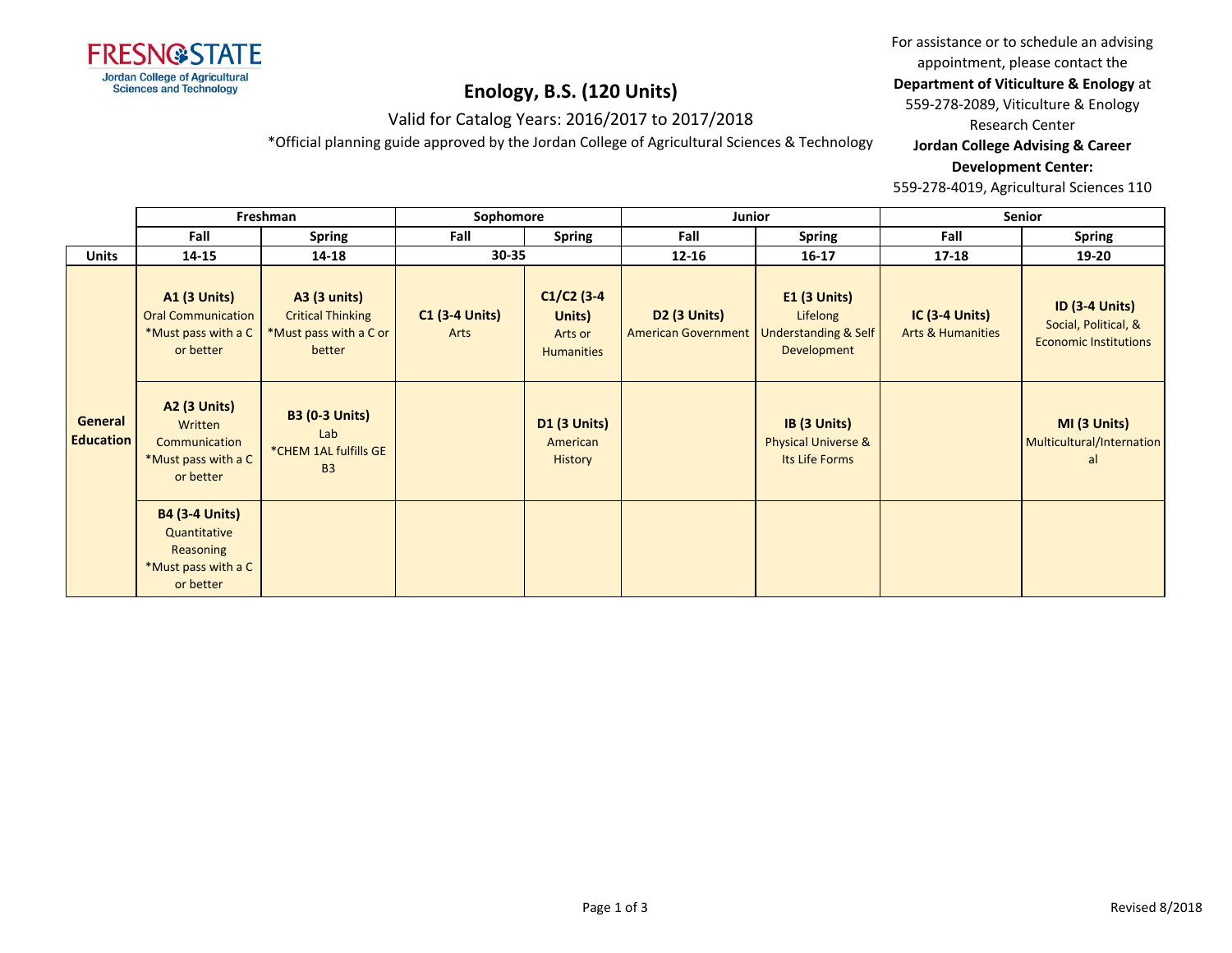

## Valid for Catalog Years: 2016/2017 to 2017/2018

\*Official planning guide approved by the Jordan College of Agricultural Sciences & Technology

For assistance or to schedule an advising appointment, please contact the

### **Department of Viticulture & Enology** at

559-278-2089, Viticulture & Enology Research Center

#### **Jordan College Advising & Career**

**Development Center:**

559-278-4019, Agricultural Sciences 110

|                             | Freshman                                                                               |                                                                                     | Sophomore                     |                                                        | Junior                                                                 |                                                                  | Senior                                          |                                                                               |  |
|-----------------------------|----------------------------------------------------------------------------------------|-------------------------------------------------------------------------------------|-------------------------------|--------------------------------------------------------|------------------------------------------------------------------------|------------------------------------------------------------------|-------------------------------------------------|-------------------------------------------------------------------------------|--|
|                             | Fall                                                                                   | <b>Spring</b>                                                                       | Fall                          | <b>Spring</b>                                          | Fall                                                                   | <b>Spring</b>                                                    | Fall                                            | <b>Spring</b>                                                                 |  |
| <b>Units</b>                | 14-15                                                                                  | 14-18                                                                               | 30-35                         |                                                        | $12 - 16$                                                              | $16 - 17$                                                        | $17 - 18$                                       | $19 - 20$                                                                     |  |
|                             | <b>A1 (3 Units)</b><br><b>Oral Communication</b><br>*Must pass with a C<br>or better   | <b>A3 (3 units)</b><br><b>Critical Thinking</b><br>*Must pass with a C or<br>better | <b>C1 (3-4 Units)</b><br>Arts | $C1/C2$ (3-4<br>Units)<br>Arts or<br><b>Humanities</b> | D <sub>2</sub> (3 Units)<br>American Government   Understanding & Self | <b>E1 (3 Units)</b><br>Lifelong<br>Development                   | $IC(3-4 Units)$<br><b>Arts &amp; Humanities</b> | <b>ID (3-4 Units)</b><br>Social, Political, &<br><b>Economic Institutions</b> |  |
| General<br><b>Education</b> | <b>A2 (3 Units)</b><br>Written<br>Communication<br>*Must pass with a C<br>or better    | <b>B3 (0-3 Units)</b><br>Lab<br>*CHEM 1AL fulfills GE<br><b>B3</b>                  |                               | <b>D1 (3 Units)</b><br>American<br>History             |                                                                        | IB (3 Units)<br><b>Physical Universe &amp;</b><br>Its Life Forms |                                                 | MI (3 Units)<br>Multicultural/Internation<br>al                               |  |
|                             | <b>B4 (3-4 Units)</b><br>Quantitative<br>Reasoning<br>*Must pass with a C<br>or better |                                                                                     |                               |                                                        |                                                                        |                                                                  |                                                 |                                                                               |  |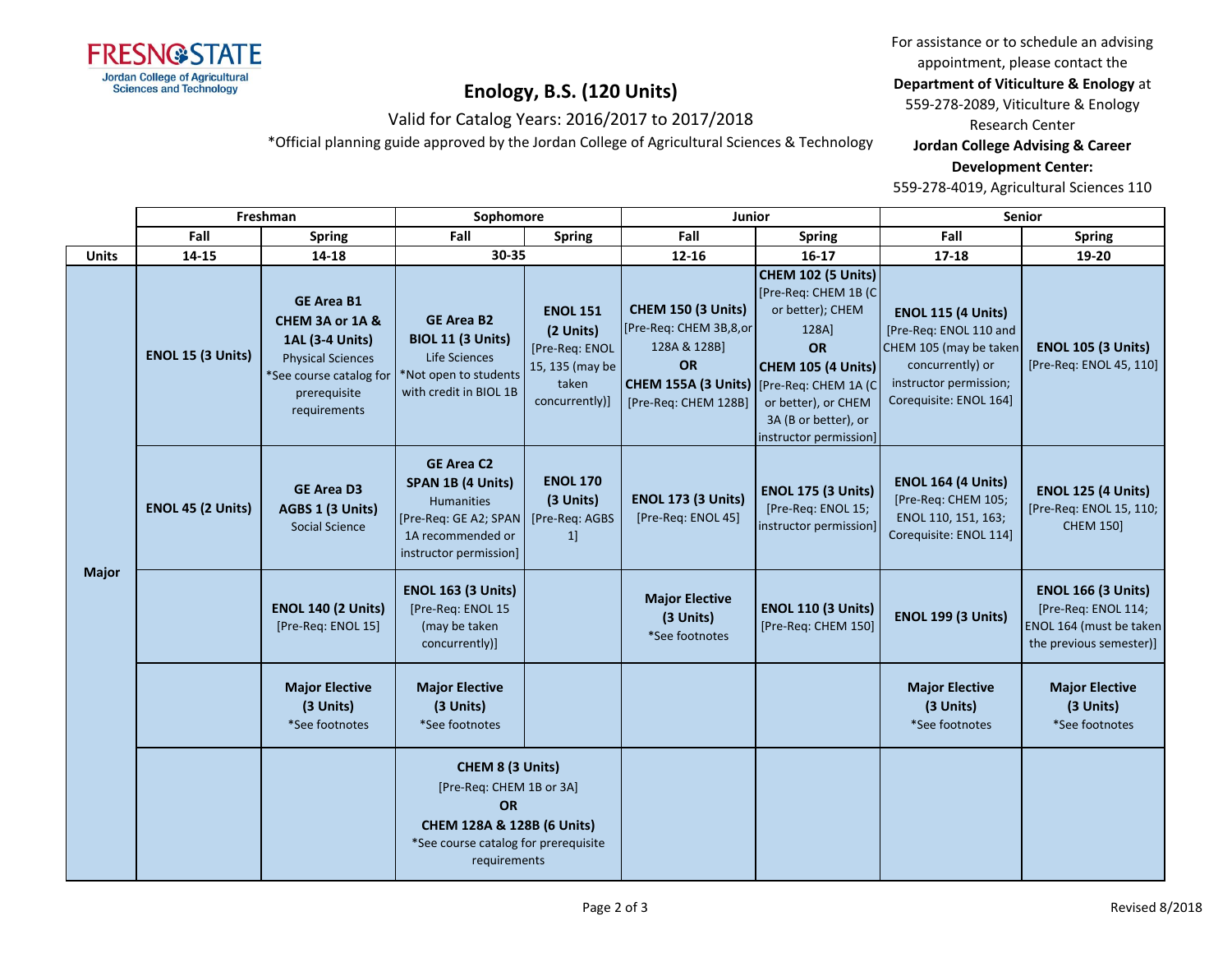

## Valid for Catalog Years: 2016/2017 to 2017/2018

\*Official planning guide approved by the Jordan College of Agricultural Sciences & Technology

For assistance or to schedule an advising appointment, please contact the

### **Department of Viticulture & Enology** at

559-278-2089, Viticulture & Enology

Research Center

### **Jordan College Advising & Career**

**Development Center:**

559-278-4019, Agricultural Sciences 110

|              | Freshman          |                                                                                                                                                | Sophomore                                                                                                                                       |                                                                                              | <b>Junior</b>                                                                                                                                          |                                                                                                                                                                                            | <b>Senior</b>                                                                                                                                         |                                                                                                        |
|--------------|-------------------|------------------------------------------------------------------------------------------------------------------------------------------------|-------------------------------------------------------------------------------------------------------------------------------------------------|----------------------------------------------------------------------------------------------|--------------------------------------------------------------------------------------------------------------------------------------------------------|--------------------------------------------------------------------------------------------------------------------------------------------------------------------------------------------|-------------------------------------------------------------------------------------------------------------------------------------------------------|--------------------------------------------------------------------------------------------------------|
|              | Fall              | <b>Spring</b>                                                                                                                                  | Fall                                                                                                                                            | <b>Spring</b>                                                                                | Fall                                                                                                                                                   | <b>Spring</b>                                                                                                                                                                              | Fall                                                                                                                                                  | <b>Spring</b>                                                                                          |
| <b>Units</b> | 14-15             | 14-18                                                                                                                                          | 30-35                                                                                                                                           |                                                                                              | $12 - 16$                                                                                                                                              | $16 - 17$                                                                                                                                                                                  | $17 - 18$                                                                                                                                             | 19-20                                                                                                  |
|              | ENOL 15 (3 Units) | <b>GE Area B1</b><br>CHEM 3A or 1A &<br>1AL (3-4 Units)<br><b>Physical Sciences</b><br>*See course catalog for<br>prerequisite<br>requirements | <b>GE Area B2</b><br><b>BIOL 11 (3 Units)</b><br>Life Sciences<br>*Not open to students<br>with credit in BIOL 1B                               | <b>ENOL 151</b><br>(2 Units)<br>[Pre-Req: ENOL<br>15, 135 (may be<br>taken<br>concurrently)] | <b>CHEM 150 (3 Units)</b><br>[Pre-Req: CHEM 3B,8,or<br>128A & 128B]<br><b>OR</b><br>CHEM 155A (3 Units)   [Pre-Req: CHEM 1A (C<br>[Pre-Req: CHEM 128B] | <b>CHEM 102 (5 Units)</b><br>[Pre-Req: CHEM 1B (C<br>or better); CHEM<br>128A]<br><b>OR</b><br>CHEM 105 (4 Units)<br>or better), or CHEM<br>3A (B or better), or<br>instructor permission] | <b>ENOL 115 (4 Units)</b><br>[Pre-Req: ENOL 110 and<br>CHEM 105 (may be taken<br>concurrently) or<br>instructor permission;<br>Corequisite: ENOL 164] | <b>ENOL 105 (3 Units)</b><br>[Pre-Req: ENOL 45, 110]                                                   |
|              | ENOL 45 (2 Units) | <b>GE Area D3</b><br>AGBS 1 (3 Units)<br><b>Social Science</b>                                                                                 | <b>GE Area C2</b><br>SPAN 1B (4 Units)<br>Humanities<br>[Pre-Req: GE A2; SPAN]<br>1A recommended or<br>instructor permission]                   | <b>ENOL 170</b><br>(3 Units)<br>[Pre-Req: AGBS<br>1]                                         | <b>ENOL 173 (3 Units)</b><br>[Pre-Req: ENOL 45]                                                                                                        | <b>ENOL 175 (3 Units)</b><br>[Pre-Req: ENOL 15;<br>instructor permission]                                                                                                                  | <b>ENOL 164 (4 Units)</b><br>[Pre-Req: CHEM 105;<br>ENOL 110, 151, 163;<br>Corequisite: ENOL 114]                                                     | <b>ENOL 125 (4 Units)</b><br>[Pre-Req: ENOL 15, 110;<br><b>CHEM 1501</b>                               |
| <b>Major</b> |                   | <b>ENOL 140 (2 Units)</b><br>[Pre-Req: ENOL 15]                                                                                                | <b>ENOL 163 (3 Units)</b><br>[Pre-Req: ENOL 15<br>(may be taken<br>concurrently)]                                                               |                                                                                              | <b>Major Elective</b><br>(3 Units)<br>*See footnotes                                                                                                   | <b>ENOL 110 (3 Units)</b><br>[Pre-Req: CHEM 150]                                                                                                                                           | <b>ENOL 199 (3 Units)</b>                                                                                                                             | <b>ENOL 166 (3 Units)</b><br>[Pre-Req: ENOL 114;<br>ENOL 164 (must be taken<br>the previous semester)] |
|              |                   | <b>Major Elective</b><br>(3 Units)<br>*See footnotes                                                                                           | <b>Major Elective</b><br>(3 Units)<br>*See footnotes                                                                                            |                                                                                              |                                                                                                                                                        |                                                                                                                                                                                            | <b>Major Elective</b><br>(3 Units)<br>*See footnotes                                                                                                  | <b>Major Elective</b><br>(3 Units)<br>*See footnotes                                                   |
|              |                   |                                                                                                                                                | CHEM 8 (3 Units)<br>[Pre-Req: CHEM 1B or 3A]<br><b>OR</b><br>CHEM 128A & 128B (6 Units)<br>*See course catalog for prerequisite<br>requirements |                                                                                              |                                                                                                                                                        |                                                                                                                                                                                            |                                                                                                                                                       |                                                                                                        |